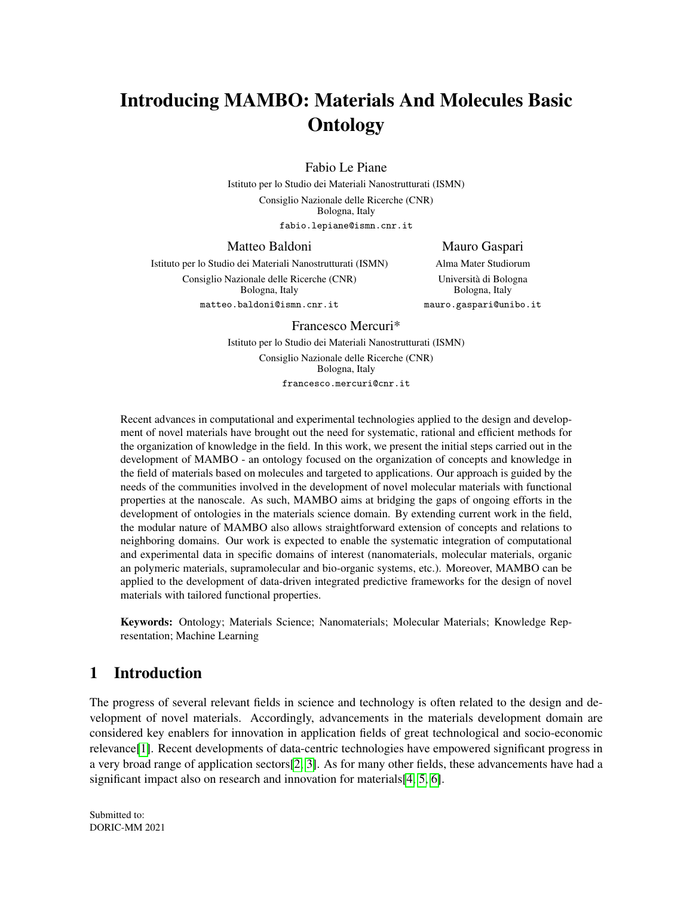# Introducing MAMBO: Materials And Molecules Basic **Ontology**

Fabio Le Piane

Istituto per lo Studio dei Materiali Nanostrutturati (ISMN)

Consiglio Nazionale delle Ricerche (CNR) Bologna, Italy fabio.lepiane@ismn.cnr.it

Matteo Baldoni

Mauro Gaspari

Istituto per lo Studio dei Materiali Nanostrutturati (ISMN) Consiglio Nazionale delle Ricerche (CNR) Bologna, Italy matteo.baldoni@ismn.cnr.it

Alma Mater Studiorum Universita di Bologna ` Bologna, Italy mauro.gaspari@unibo.it

Francesco Mercuri\*

Istituto per lo Studio dei Materiali Nanostrutturati (ISMN) Consiglio Nazionale delle Ricerche (CNR) Bologna, Italy francesco.mercuri@cnr.it

Recent advances in computational and experimental technologies applied to the design and development of novel materials have brought out the need for systematic, rational and efficient methods for the organization of knowledge in the field. In this work, we present the initial steps carried out in the development of MAMBO - an ontology focused on the organization of concepts and knowledge in the field of materials based on molecules and targeted to applications. Our approach is guided by the needs of the communities involved in the development of novel molecular materials with functional properties at the nanoscale. As such, MAMBO aims at bridging the gaps of ongoing efforts in the development of ontologies in the materials science domain. By extending current work in the field, the modular nature of MAMBO also allows straightforward extension of concepts and relations to neighboring domains. Our work is expected to enable the systematic integration of computational and experimental data in specific domains of interest (nanomaterials, molecular materials, organic an polymeric materials, supramolecular and bio-organic systems, etc.). Moreover, MAMBO can be applied to the development of data-driven integrated predictive frameworks for the design of novel materials with tailored functional properties.

Keywords: Ontology; Materials Science; Nanomaterials; Molecular Materials; Knowledge Representation; Machine Learning

# 1 Introduction

The progress of several relevant fields in science and technology is often related to the design and development of novel materials. Accordingly, advancements in the materials development domain are considered key enablers for innovation in application fields of great technological and socio-economic relevance[\[1\]](#page-9-0). Recent developments of data-centric technologies have empowered significant progress in a very broad range of application sectors[\[2,](#page-9-1) [3\]](#page-9-2). As for many other fields, these advancements have had a significant impact also on research and innovation for materials [\[4,](#page-9-3) [5,](#page-9-4) [6\]](#page-9-5).

Submitted to: DORIC-MM 2021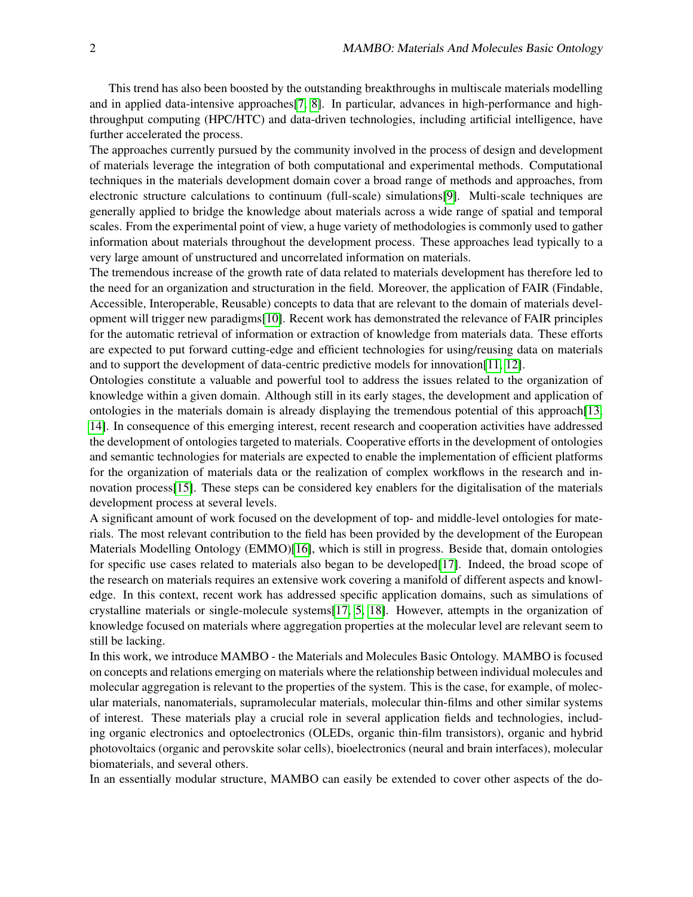This trend has also been boosted by the outstanding breakthroughs in multiscale materials modelling and in applied data-intensive approaches[\[7,](#page-9-6) [8\]](#page-9-7). In particular, advances in high-performance and highthroughput computing (HPC/HTC) and data-driven technologies, including artificial intelligence, have further accelerated the process.

The approaches currently pursued by the community involved in the process of design and development of materials leverage the integration of both computational and experimental methods. Computational techniques in the materials development domain cover a broad range of methods and approaches, from electronic structure calculations to continuum (full-scale) simulations[\[9\]](#page-9-8). Multi-scale techniques are generally applied to bridge the knowledge about materials across a wide range of spatial and temporal scales. From the experimental point of view, a huge variety of methodologies is commonly used to gather information about materials throughout the development process. These approaches lead typically to a very large amount of unstructured and uncorrelated information on materials.

The tremendous increase of the growth rate of data related to materials development has therefore led to the need for an organization and structuration in the field. Moreover, the application of FAIR (Findable, Accessible, Interoperable, Reusable) concepts to data that are relevant to the domain of materials development will trigger new paradigms[\[10\]](#page-9-9). Recent work has demonstrated the relevance of FAIR principles for the automatic retrieval of information or extraction of knowledge from materials data. These efforts are expected to put forward cutting-edge and efficient technologies for using/reusing data on materials and to support the development of data-centric predictive models for innovation[\[11,](#page-9-10) [12\]](#page-9-11).

Ontologies constitute a valuable and powerful tool to address the issues related to the organization of knowledge within a given domain. Although still in its early stages, the development and application of ontologies in the materials domain is already displaying the tremendous potential of this approach[\[13,](#page-9-12) [14\]](#page-9-13). In consequence of this emerging interest, recent research and cooperation activities have addressed the development of ontologies targeted to materials. Cooperative efforts in the development of ontologies and semantic technologies for materials are expected to enable the implementation of efficient platforms for the organization of materials data or the realization of complex workflows in the research and innovation process[\[15\]](#page-10-0). These steps can be considered key enablers for the digitalisation of the materials development process at several levels.

A significant amount of work focused on the development of top- and middle-level ontologies for materials. The most relevant contribution to the field has been provided by the development of the European Materials Modelling Ontology (EMMO)[\[16\]](#page-10-1), which is still in progress. Beside that, domain ontologies for specific use cases related to materials also began to be developed[\[17\]](#page-10-2). Indeed, the broad scope of the research on materials requires an extensive work covering a manifold of different aspects and knowledge. In this context, recent work has addressed specific application domains, such as simulations of crystalline materials or single-molecule systems[\[17,](#page-10-2) [5,](#page-9-4) [18\]](#page-10-3). However, attempts in the organization of knowledge focused on materials where aggregation properties at the molecular level are relevant seem to still be lacking.

In this work, we introduce MAMBO - the Materials and Molecules Basic Ontology. MAMBO is focused on concepts and relations emerging on materials where the relationship between individual molecules and molecular aggregation is relevant to the properties of the system. This is the case, for example, of molecular materials, nanomaterials, supramolecular materials, molecular thin-films and other similar systems of interest. These materials play a crucial role in several application fields and technologies, including organic electronics and optoelectronics (OLEDs, organic thin-film transistors), organic and hybrid photovoltaics (organic and perovskite solar cells), bioelectronics (neural and brain interfaces), molecular biomaterials, and several others.

In an essentially modular structure, MAMBO can easily be extended to cover other aspects of the do-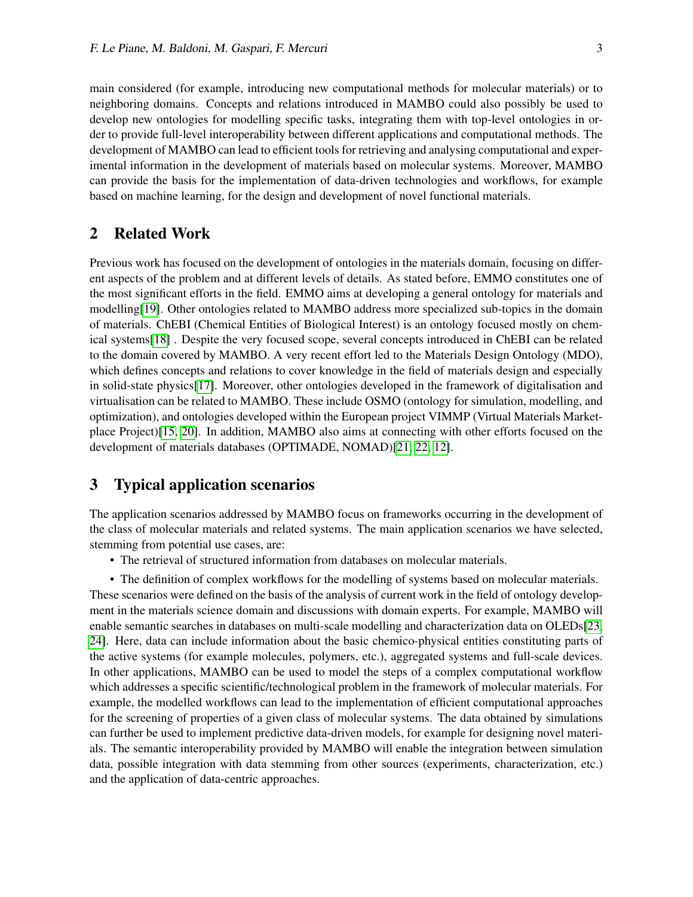main considered (for example, introducing new computational methods for molecular materials) or to neighboring domains. Concepts and relations introduced in MAMBO could also possibly be used to develop new ontologies for modelling specific tasks, integrating them with top-level ontologies in order to provide full-level interoperability between different applications and computational methods. The development of MAMBO can lead to efficient tools for retrieving and analysing computational and experimental information in the development of materials based on molecular systems. Moreover, MAMBO can provide the basis for the implementation of data-driven technologies and workflows, for example based on machine learning, for the design and development of novel functional materials.

## 2 Related Work

Previous work has focused on the development of ontologies in the materials domain, focusing on different aspects of the problem and at different levels of details. As stated before, EMMO constitutes one of the most significant efforts in the field. EMMO aims at developing a general ontology for materials and modelling[\[19\]](#page-10-4). Other ontologies related to MAMBO address more specialized sub-topics in the domain of materials. ChEBI (Chemical Entities of Biological Interest) is an ontology focused mostly on chemical systems[\[18\]](#page-10-3) . Despite the very focused scope, several concepts introduced in ChEBI can be related to the domain covered by MAMBO. A very recent effort led to the Materials Design Ontology (MDO), which defines concepts and relations to cover knowledge in the field of materials design and especially in solid-state physics[\[17\]](#page-10-2). Moreover, other ontologies developed in the framework of digitalisation and virtualisation can be related to MAMBO. These include OSMO (ontology for simulation, modelling, and optimization), and ontologies developed within the European project VIMMP (Virtual Materials Marketplace Project)[\[15,](#page-10-0) [20\]](#page-10-5). In addition, MAMBO also aims at connecting with other efforts focused on the development of materials databases (OPTIMADE, NOMAD)[\[21,](#page-10-6) [22,](#page-10-7) [12\]](#page-9-11).

# 3 Typical application scenarios

The application scenarios addressed by MAMBO focus on frameworks occurring in the development of the class of molecular materials and related systems. The main application scenarios we have selected, stemming from potential use cases, are:

• The retrieval of structured information from databases on molecular materials.

• The definition of complex workflows for the modelling of systems based on molecular materials. These scenarios were defined on the basis of the analysis of current work in the field of ontology development in the materials science domain and discussions with domain experts. For example, MAMBO will enable semantic searches in databases on multi-scale modelling and characterization data on OLEDs[\[23,](#page-10-8) [24\]](#page-10-9). Here, data can include information about the basic chemico-physical entities constituting parts of the active systems (for example molecules, polymers, etc.), aggregated systems and full-scale devices. In other applications, MAMBO can be used to model the steps of a complex computational workflow which addresses a specific scientific/technological problem in the framework of molecular materials. For example, the modelled workflows can lead to the implementation of efficient computational approaches for the screening of properties of a given class of molecular systems. The data obtained by simulations can further be used to implement predictive data-driven models, for example for designing novel materials. The semantic interoperability provided by MAMBO will enable the integration between simulation data, possible integration with data stemming from other sources (experiments, characterization, etc.) and the application of data-centric approaches.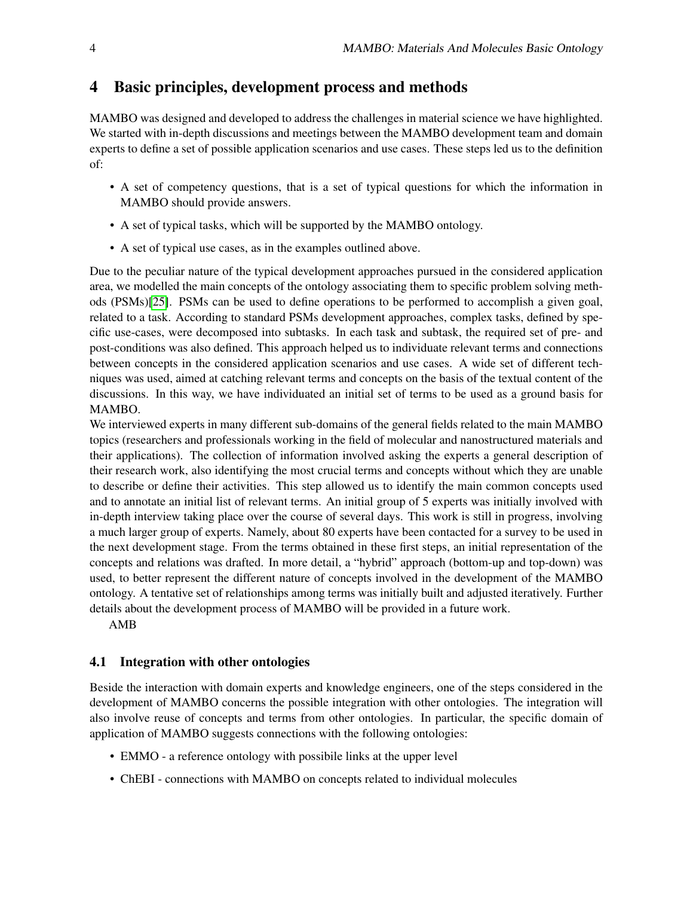# 4 Basic principles, development process and methods

MAMBO was designed and developed to address the challenges in material science we have highlighted. We started with in-depth discussions and meetings between the MAMBO development team and domain experts to define a set of possible application scenarios and use cases. These steps led us to the definition of:

- A set of competency questions, that is a set of typical questions for which the information in MAMBO should provide answers.
- A set of typical tasks, which will be supported by the MAMBO ontology.
- A set of typical use cases, as in the examples outlined above.

Due to the peculiar nature of the typical development approaches pursued in the considered application area, we modelled the main concepts of the ontology associating them to specific problem solving methods (PSMs)[\[25\]](#page-10-10). PSMs can be used to define operations to be performed to accomplish a given goal, related to a task. According to standard PSMs development approaches, complex tasks, defined by specific use-cases, were decomposed into subtasks. In each task and subtask, the required set of pre- and post-conditions was also defined. This approach helped us to individuate relevant terms and connections between concepts in the considered application scenarios and use cases. A wide set of different techniques was used, aimed at catching relevant terms and concepts on the basis of the textual content of the discussions. In this way, we have individuated an initial set of terms to be used as a ground basis for MAMBO.

We interviewed experts in many different sub-domains of the general fields related to the main MAMBO topics (researchers and professionals working in the field of molecular and nanostructured materials and their applications). The collection of information involved asking the experts a general description of their research work, also identifying the most crucial terms and concepts without which they are unable to describe or define their activities. This step allowed us to identify the main common concepts used and to annotate an initial list of relevant terms. An initial group of 5 experts was initially involved with in-depth interview taking place over the course of several days. This work is still in progress, involving a much larger group of experts. Namely, about 80 experts have been contacted for a survey to be used in the next development stage. From the terms obtained in these first steps, an initial representation of the concepts and relations was drafted. In more detail, a "hybrid" approach (bottom-up and top-down) was used, to better represent the different nature of concepts involved in the development of the MAMBO ontology. A tentative set of relationships among terms was initially built and adjusted iteratively. Further details about the development process of MAMBO will be provided in a future work.

AMB

## 4.1 Integration with other ontologies

Beside the interaction with domain experts and knowledge engineers, one of the steps considered in the development of MAMBO concerns the possible integration with other ontologies. The integration will also involve reuse of concepts and terms from other ontologies. In particular, the specific domain of application of MAMBO suggests connections with the following ontologies:

- EMMO a reference ontology with possibile links at the upper level
- ChEBI connections with MAMBO on concepts related to individual molecules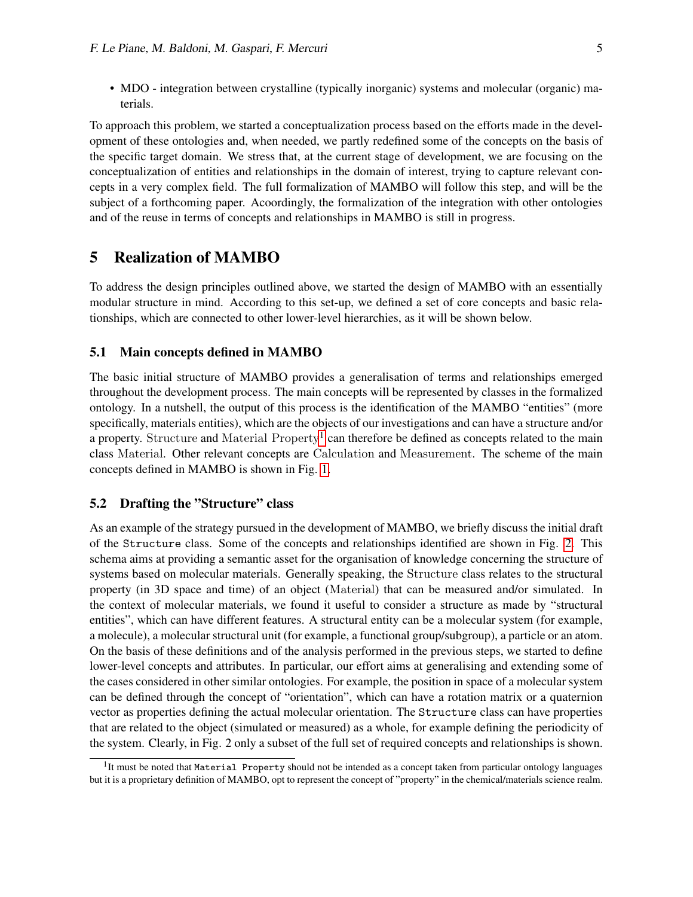• MDO - integration between crystalline (typically inorganic) systems and molecular (organic) materials.

To approach this problem, we started a conceptualization process based on the efforts made in the development of these ontologies and, when needed, we partly redefined some of the concepts on the basis of the specific target domain. We stress that, at the current stage of development, we are focusing on the conceptualization of entities and relationships in the domain of interest, trying to capture relevant concepts in a very complex field. The full formalization of MAMBO will follow this step, and will be the subject of a forthcoming paper. Acoordingly, the formalization of the integration with other ontologies and of the reuse in terms of concepts and relationships in MAMBO is still in progress.

# 5 Realization of MAMBO

To address the design principles outlined above, we started the design of MAMBO with an essentially modular structure in mind. According to this set-up, we defined a set of core concepts and basic relationships, which are connected to other lower-level hierarchies, as it will be shown below.

#### 5.1 Main concepts defined in MAMBO

The basic initial structure of MAMBO provides a generalisation of terms and relationships emerged throughout the development process. The main concepts will be represented by classes in the formalized ontology. In a nutshell, the output of this process is the identification of the MAMBO "entities" (more specifically, materials entities), which are the objects of our investigations and can have a structure and/or a property. Structure and Material Property<sup>[1](#page-4-0)</sup> can therefore be defined as concepts related to the main class Material. Other relevant concepts are Calculation and Measurement. The scheme of the main concepts defined in MAMBO is shown in Fig. [1.](#page-5-0)

### 5.2 Drafting the "Structure" class

As an example of the strategy pursued in the development of MAMBO, we briefly discuss the initial draft of the Structure class. Some of the concepts and relationships identified are shown in Fig. [2.](#page-6-0) This schema aims at providing a semantic asset for the organisation of knowledge concerning the structure of systems based on molecular materials. Generally speaking, the Structure class relates to the structural property (in 3D space and time) of an object (Material) that can be measured and/or simulated. In the context of molecular materials, we found it useful to consider a structure as made by "structural entities", which can have different features. A structural entity can be a molecular system (for example, a molecule), a molecular structural unit (for example, a functional group/subgroup), a particle or an atom. On the basis of these definitions and of the analysis performed in the previous steps, we started to define lower-level concepts and attributes. In particular, our effort aims at generalising and extending some of the cases considered in other similar ontologies. For example, the position in space of a molecular system can be defined through the concept of "orientation", which can have a rotation matrix or a quaternion vector as properties defining the actual molecular orientation. The Structure class can have properties that are related to the object (simulated or measured) as a whole, for example defining the periodicity of the system. Clearly, in Fig. 2 only a subset of the full set of required concepts and relationships is shown.

<span id="page-4-0"></span><sup>&</sup>lt;sup>1</sup>It must be noted that Material Property should not be intended as a concept taken from particular ontology languages but it is a proprietary definition of MAMBO, opt to represent the concept of "property" in the chemical/materials science realm.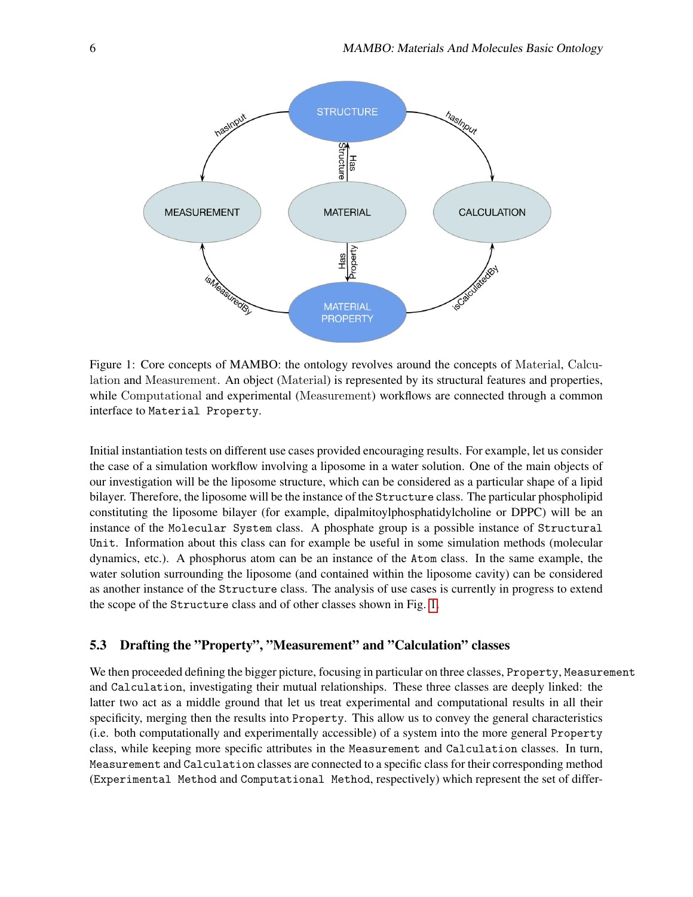

<span id="page-5-0"></span>Figure 1: Core concepts of MAMBO: the ontology revolves around the concepts of Material, Calculation and Measurement. An object (Material) is represented by its structural features and properties, while Computational and experimental (Measurement) workflows are connected through a common interface to Material Property.

Initial instantiation tests on different use cases provided encouraging results. For example, let us consider the case of a simulation workflow involving a liposome in a water solution. One of the main objects of our investigation will be the liposome structure, which can be considered as a particular shape of a lipid bilayer. Therefore, the liposome will be the instance of the Structure class. The particular phospholipid constituting the liposome bilayer (for example, dipalmitoylphosphatidylcholine or DPPC) will be an instance of the Molecular System class. A phosphate group is a possible instance of Structural Unit. Information about this class can for example be useful in some simulation methods (molecular dynamics, etc.). A phosphorus atom can be an instance of the Atom class. In the same example, the water solution surrounding the liposome (and contained within the liposome cavity) can be considered as another instance of the Structure class. The analysis of use cases is currently in progress to extend the scope of the Structure class and of other classes shown in Fig. [1.](#page-5-0)

### 5.3 Drafting the "Property", "Measurement" and "Calculation" classes

We then proceeded defining the bigger picture, focusing in particular on three classes, Property, Measurement and Calculation, investigating their mutual relationships. These three classes are deeply linked: the latter two act as a middle ground that let us treat experimental and computational results in all their specificity, merging then the results into Property. This allow us to convey the general characteristics (i.e. both computationally and experimentally accessible) of a system into the more general Property class, while keeping more specific attributes in the Measurement and Calculation classes. In turn, Measurement and Calculation classes are connected to a specific class for their corresponding method (Experimental Method and Computational Method, respectively) which represent the set of differ-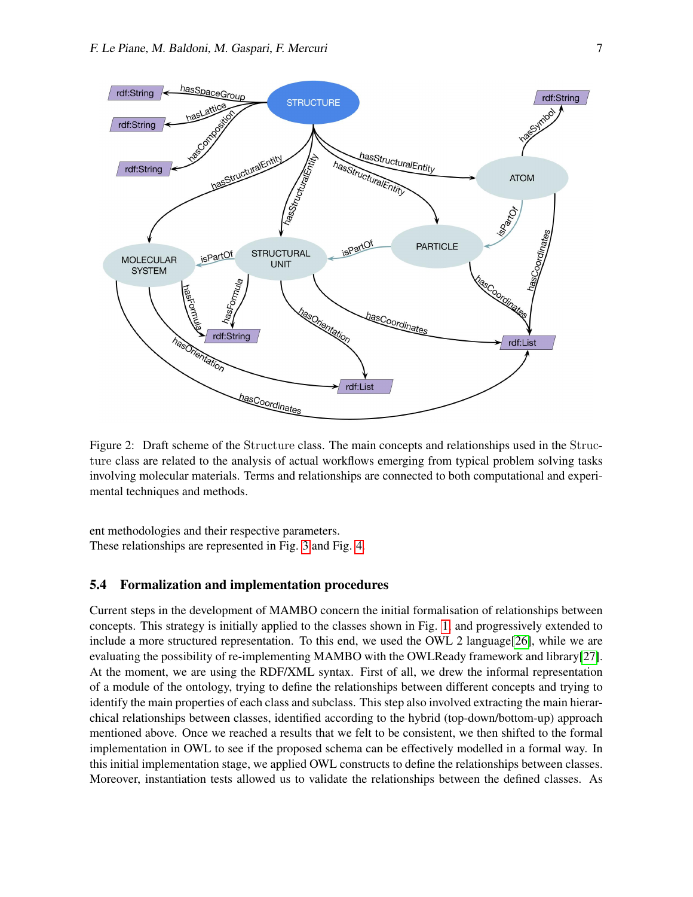

<span id="page-6-0"></span>Figure 2: Draft scheme of the Structure class. The main concepts and relationships used in the Structure class are related to the analysis of actual workflows emerging from typical problem solving tasks involving molecular materials. Terms and relationships are connected to both computational and experimental techniques and methods.

ent methodologies and their respective parameters. These relationships are represented in Fig. [3](#page-7-0) and Fig. [4.](#page-7-1)

#### 5.4 Formalization and implementation procedures

Current steps in the development of MAMBO concern the initial formalisation of relationships between concepts. This strategy is initially applied to the classes shown in Fig. [1,](#page-5-0) and progressively extended to include a more structured representation. To this end, we used the OWL 2 language[\[26\]](#page-10-11), while we are evaluating the possibility of re-implementing MAMBO with the OWLReady framework and library[\[27\]](#page-10-12). At the moment, we are using the RDF/XML syntax. First of all, we drew the informal representation of a module of the ontology, trying to define the relationships between different concepts and trying to identify the main properties of each class and subclass. This step also involved extracting the main hierarchical relationships between classes, identified according to the hybrid (top-down/bottom-up) approach mentioned above. Once we reached a results that we felt to be consistent, we then shifted to the formal implementation in OWL to see if the proposed schema can be effectively modelled in a formal way. In this initial implementation stage, we applied OWL constructs to define the relationships between classes. Moreover, instantiation tests allowed us to validate the relationships between the defined classes. As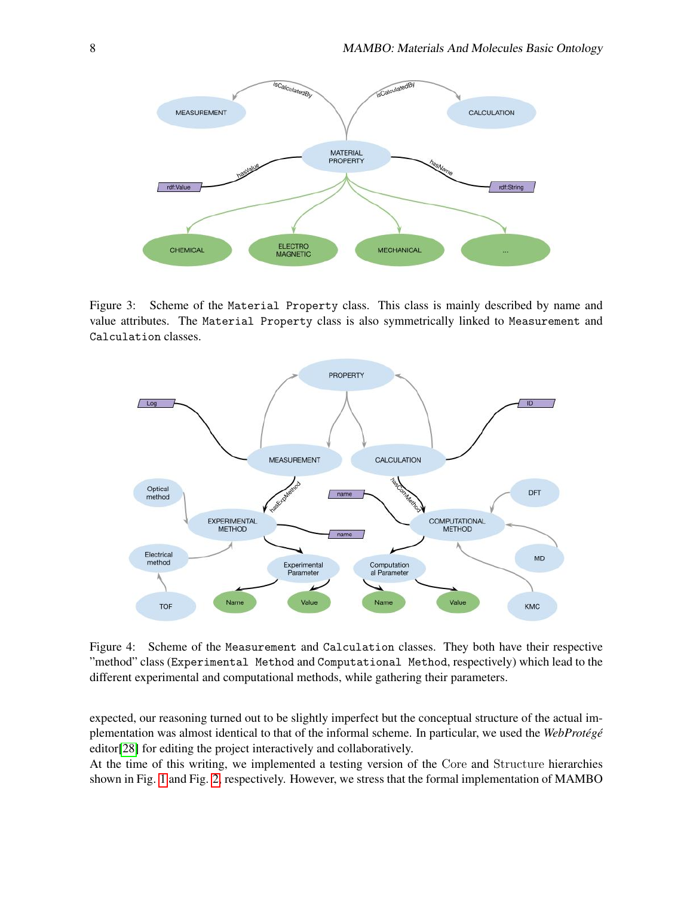

<span id="page-7-0"></span>Figure 3: Scheme of the Material Property class. This class is mainly described by name and value attributes. The Material Property class is also symmetrically linked to Measurement and Calculation classes.



<span id="page-7-1"></span>Figure 4: Scheme of the Measurement and Calculation classes. They both have their respective "method" class (Experimental Method and Computational Method, respectively) which lead to the different experimental and computational methods, while gathering their parameters.

expected, our reasoning turned out to be slightly imperfect but the conceptual structure of the actual implementation was almost identical to that of the informal scheme. In particular, we used the *WebProtégé* editor[\[28\]](#page-11-0) for editing the project interactively and collaboratively.

At the time of this writing, we implemented a testing version of the Core and Structure hierarchies shown in Fig. [1](#page-5-0) and Fig. [2,](#page-6-0) respectively. However, we stress that the formal implementation of MAMBO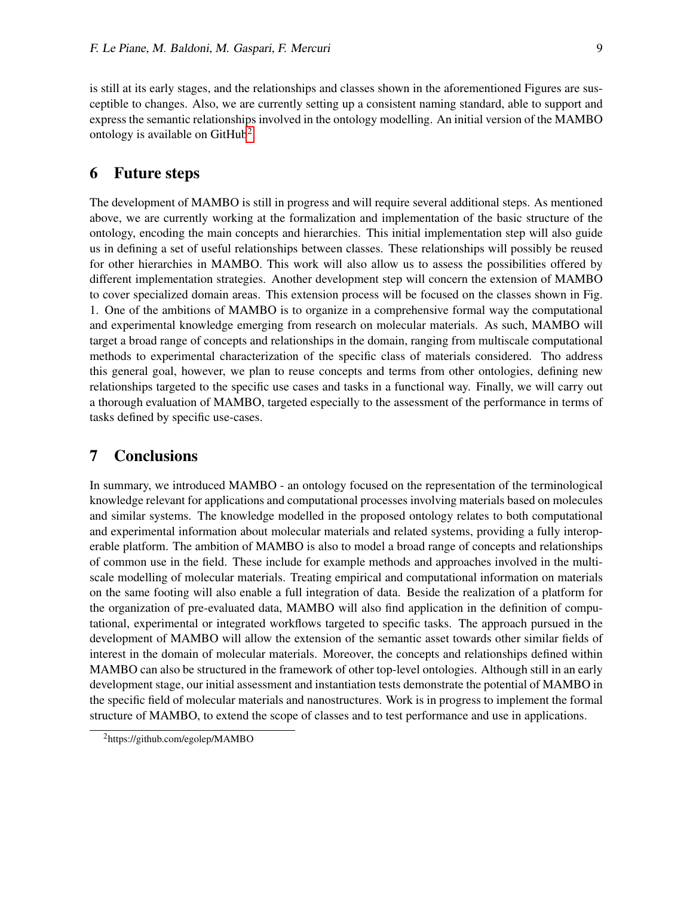is still at its early stages, and the relationships and classes shown in the aforementioned Figures are susceptible to changes. Also, we are currently setting up a consistent naming standard, able to support and express the semantic relationships involved in the ontology modelling. An initial version of the MAMBO ontology is available on GitHub<sup>[2](#page-8-0)</sup>.

### 6 Future steps

The development of MAMBO is still in progress and will require several additional steps. As mentioned above, we are currently working at the formalization and implementation of the basic structure of the ontology, encoding the main concepts and hierarchies. This initial implementation step will also guide us in defining a set of useful relationships between classes. These relationships will possibly be reused for other hierarchies in MAMBO. This work will also allow us to assess the possibilities offered by different implementation strategies. Another development step will concern the extension of MAMBO to cover specialized domain areas. This extension process will be focused on the classes shown in Fig. 1. One of the ambitions of MAMBO is to organize in a comprehensive formal way the computational and experimental knowledge emerging from research on molecular materials. As such, MAMBO will target a broad range of concepts and relationships in the domain, ranging from multiscale computational methods to experimental characterization of the specific class of materials considered. Tho address this general goal, however, we plan to reuse concepts and terms from other ontologies, defining new relationships targeted to the specific use cases and tasks in a functional way. Finally, we will carry out a thorough evaluation of MAMBO, targeted especially to the assessment of the performance in terms of tasks defined by specific use-cases.

## 7 Conclusions

In summary, we introduced MAMBO - an ontology focused on the representation of the terminological knowledge relevant for applications and computational processes involving materials based on molecules and similar systems. The knowledge modelled in the proposed ontology relates to both computational and experimental information about molecular materials and related systems, providing a fully interoperable platform. The ambition of MAMBO is also to model a broad range of concepts and relationships of common use in the field. These include for example methods and approaches involved in the multiscale modelling of molecular materials. Treating empirical and computational information on materials on the same footing will also enable a full integration of data. Beside the realization of a platform for the organization of pre-evaluated data, MAMBO will also find application in the definition of computational, experimental or integrated workflows targeted to specific tasks. The approach pursued in the development of MAMBO will allow the extension of the semantic asset towards other similar fields of interest in the domain of molecular materials. Moreover, the concepts and relationships defined within MAMBO can also be structured in the framework of other top-level ontologies. Although still in an early development stage, our initial assessment and instantiation tests demonstrate the potential of MAMBO in the specific field of molecular materials and nanostructures. Work is in progress to implement the formal structure of MAMBO, to extend the scope of classes and to test performance and use in applications.

<span id="page-8-0"></span><sup>2</sup>https://github.com/egolep/MAMBO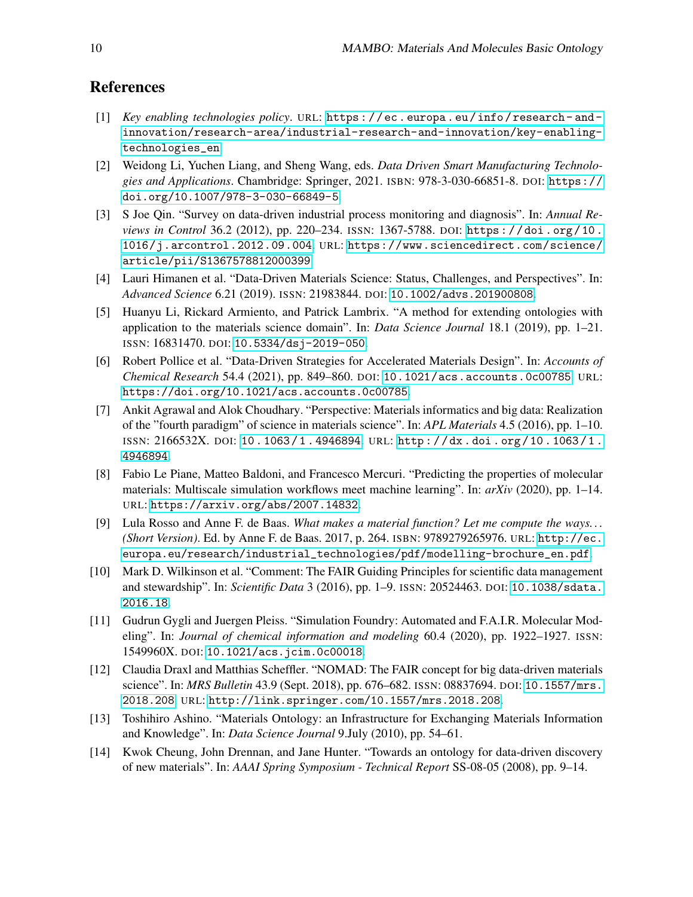# References

- <span id="page-9-0"></span>[1] *Key enabling technologies policy*. URL: [https : / / ec . europa . eu / info / research - and](https://ec.europa.eu/info/research-and-innovation/research-area/industrial-research-and-innovation/key-enabling-technologies_en)  [innovation/research-area/industrial-research-and-innovation/key-enabling](https://ec.europa.eu/info/research-and-innovation/research-area/industrial-research-and-innovation/key-enabling-technologies_en)[technologies\\_en](https://ec.europa.eu/info/research-and-innovation/research-area/industrial-research-and-innovation/key-enabling-technologies_en).
- <span id="page-9-1"></span>[2] Weidong Li, Yuchen Liang, and Sheng Wang, eds. *Data Driven Smart Manufacturing Technologies and Applications*. Chambridge: Springer, 2021. ISBN: 978-3-030-66851-8. DOI: [https://](https://doi.org/https://doi.org/10.1007/978-3-030-66849-5) [doi.org/10.1007/978-3-030-66849-5](https://doi.org/https://doi.org/10.1007/978-3-030-66849-5).
- <span id="page-9-2"></span>[3] S Joe Qin. "Survey on data-driven industrial process monitoring and diagnosis". In: *Annual Reviews in Control* 36.2 (2012), pp. 220–234. ISSN: 1367-5788. DOI: [https : / / doi . org / 10 .](https://doi.org/https://doi.org/10.1016/j.arcontrol.2012.09.004) [1016/j.arcontrol.2012.09.004](https://doi.org/https://doi.org/10.1016/j.arcontrol.2012.09.004). URL: [https://www.sciencedirect.com/science/](https://www.sciencedirect.com/science/article/pii/S1367578812000399) [article/pii/S1367578812000399](https://www.sciencedirect.com/science/article/pii/S1367578812000399).
- <span id="page-9-3"></span>[4] Lauri Himanen et al. "Data-Driven Materials Science: Status, Challenges, and Perspectives". In: *Advanced Science* 6.21 (2019). ISSN: 21983844. DOI: [10.1002/advs.201900808](https://doi.org/10.1002/advs.201900808).
- <span id="page-9-4"></span>[5] Huanyu Li, Rickard Armiento, and Patrick Lambrix. "A method for extending ontologies with application to the materials science domain". In: *Data Science Journal* 18.1 (2019), pp. 1–21. ISSN: 16831470. DOI: [10.5334/dsj-2019-050](https://doi.org/10.5334/dsj-2019-050).
- <span id="page-9-5"></span>[6] Robert Pollice et al. "Data-Driven Strategies for Accelerated Materials Design". In: *Accounts of Chemical Research* 54.4 (2021), pp. 849–860. DOI: [10.1021/acs.accounts.0c00785](https://doi.org/10.1021/acs.accounts.0c00785). URL: <https://doi.org/10.1021/acs.accounts.0c00785>.
- <span id="page-9-6"></span>[7] Ankit Agrawal and Alok Choudhary. "Perspective: Materials informatics and big data: Realization of the "fourth paradigm" of science in materials science". In: *APL Materials* 4.5 (2016), pp. 1–10. ISSN: 2166532X. DOI: [10 . 1063 / 1 . 4946894](https://doi.org/10.1063/1.4946894). URL: [http : / / dx . doi . org / 10 . 1063 / 1 .](http://dx.doi.org/10.1063/1.4946894) [4946894](http://dx.doi.org/10.1063/1.4946894).
- <span id="page-9-7"></span>[8] Fabio Le Piane, Matteo Baldoni, and Francesco Mercuri. "Predicting the properties of molecular materials: Multiscale simulation workflows meet machine learning". In: *arXiv* (2020), pp. 1–14. URL: <https://arxiv.org/abs/2007.14832>.
- <span id="page-9-8"></span>[9] Lula Rosso and Anne F. de Baas. *What makes a material function? Let me compute the ways. . . (Short Version)*. Ed. by Anne F. de Baas. 2017, p. 264. ISBN: 9789279265976. URL: [http://ec.](http://ec.europa.eu/research/industrial_technologies/pdf/modelling-brochure_en.pdf) [europa.eu/research/industrial\\_technologies/pdf/modelling-brochure\\_en.pdf](http://ec.europa.eu/research/industrial_technologies/pdf/modelling-brochure_en.pdf).
- <span id="page-9-9"></span>[10] Mark D. Wilkinson et al. "Comment: The FAIR Guiding Principles for scientific data management and stewardship". In: *Scientific Data* 3 (2016), pp. 1–9. ISSN: 20524463. DOI: [10.1038/sdata.](https://doi.org/10.1038/sdata.2016.18) [2016.18](https://doi.org/10.1038/sdata.2016.18).
- <span id="page-9-10"></span>[11] Gudrun Gygli and Juergen Pleiss. "Simulation Foundry: Automated and F.A.I.R. Molecular Modeling". In: *Journal of chemical information and modeling* 60.4 (2020), pp. 1922–1927. ISSN: 1549960X. DOI: [10.1021/acs.jcim.0c00018](https://doi.org/10.1021/acs.jcim.0c00018).
- <span id="page-9-11"></span>[12] Claudia Draxl and Matthias Scheffler. "NOMAD: The FAIR concept for big data-driven materials science". In: *MRS Bulletin* 43.9 (Sept. 2018), pp. 676–682. ISSN: 08837694. DOI: [10.1557/mrs.](https://doi.org/10.1557/mrs.2018.208) [2018.208](https://doi.org/10.1557/mrs.2018.208). URL: <http://link.springer.com/10.1557/mrs.2018.208>.
- <span id="page-9-12"></span>[13] Toshihiro Ashino. "Materials Ontology: an Infrastructure for Exchanging Materials Information and Knowledge". In: *Data Science Journal* 9.July (2010), pp. 54–61.
- <span id="page-9-13"></span>[14] Kwok Cheung, John Drennan, and Jane Hunter. "Towards an ontology for data-driven discovery of new materials". In: *AAAI Spring Symposium - Technical Report* SS-08-05 (2008), pp. 9–14.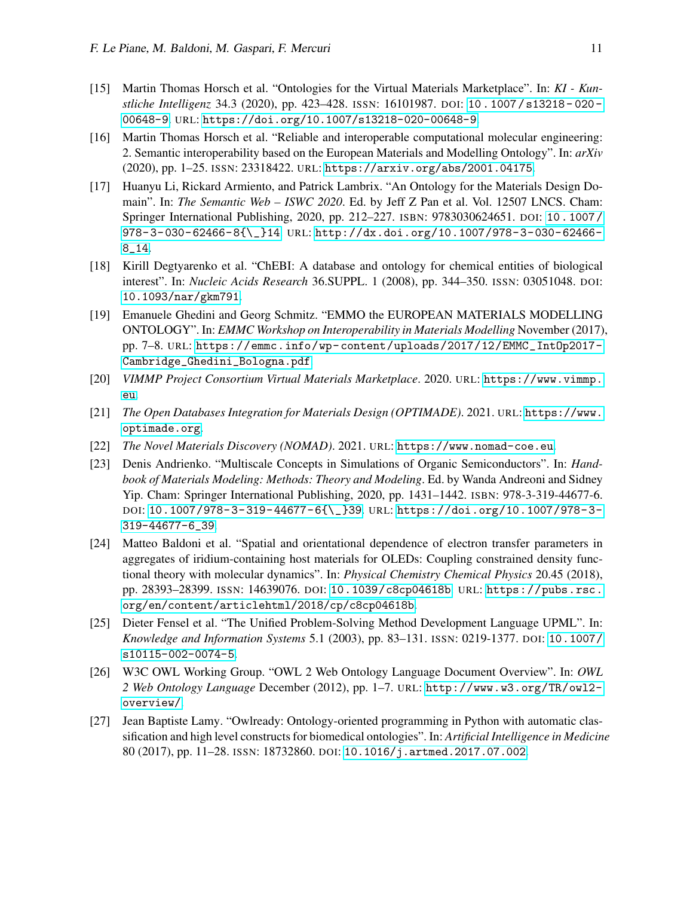- <span id="page-10-0"></span>[15] Martin Thomas Horsch et al. "Ontologies for the Virtual Materials Marketplace". In: *KI - Kunstliche Intelligenz* 34.3 (2020), pp. 423–428. ISSN: 16101987. DOI: [10 . 1007 / s13218 - 020 -](https://doi.org/10.1007/s13218-020-00648-9) [00648-9](https://doi.org/10.1007/s13218-020-00648-9). URL: <https://doi.org/10.1007/s13218-020-00648-9>.
- <span id="page-10-1"></span>[16] Martin Thomas Horsch et al. "Reliable and interoperable computational molecular engineering: 2. Semantic interoperability based on the European Materials and Modelling Ontology". In: *arXiv* (2020), pp. 1–25. ISSN: 23318422. URL: <https://arxiv.org/abs/2001.04175>.
- <span id="page-10-2"></span>[17] Huanyu Li, Rickard Armiento, and Patrick Lambrix. "An Ontology for the Materials Design Domain". In: *The Semantic Web – ISWC 2020*. Ed. by Jeff Z Pan et al. Vol. 12507 LNCS. Cham: Springer International Publishing, 2020, pp. 212–227. ISBN: 9783030624651. DOI: [10 . 1007 /](https://doi.org/10.1007/978-3-030-62466-8{\_}14) [978-3-030-62466-8{\\\_}14](https://doi.org/10.1007/978-3-030-62466-8{\_}14). URL: [http://dx.doi.org/10.1007/978-3-030-62466-](http://dx.doi.org/10.1007/978-3-030-62466-8_14) [8\\_14](http://dx.doi.org/10.1007/978-3-030-62466-8_14).
- <span id="page-10-3"></span>[18] Kirill Degtyarenko et al. "ChEBI: A database and ontology for chemical entities of biological interest". In: *Nucleic Acids Research* 36.SUPPL. 1 (2008), pp. 344–350. ISSN: 03051048. DOI: [10.1093/nar/gkm791](https://doi.org/10.1093/nar/gkm791).
- <span id="page-10-4"></span>[19] Emanuele Ghedini and Georg Schmitz. "EMMO the EUROPEAN MATERIALS MODELLING ONTOLOGY". In: *EMMC Workshop on Interoperability in Materials Modelling* November (2017), pp. 7–8. URL: [https://emmc.info/wp- content/uploads/2017/12/EMMC\\_IntOp2017-](https://emmc.info/wp-content/uploads/2017/12/EMMC_IntOp2017-Cambridge_Ghedini_Bologna.pdf) [Cambridge\\_Ghedini\\_Bologna.pdf](https://emmc.info/wp-content/uploads/2017/12/EMMC_IntOp2017-Cambridge_Ghedini_Bologna.pdf).
- <span id="page-10-5"></span>[20] *VIMMP Project Consortium Virtual Materials Marketplace*. 2020. URL: [https://www.vimmp.](https://www.vimmp.eu) [eu](https://www.vimmp.eu).
- <span id="page-10-6"></span>[21] *The Open Databases Integration for Materials Design (OPTIMADE)*. 2021. URL: [https://www.](https://www.optimade.org) [optimade.org](https://www.optimade.org).
- <span id="page-10-7"></span>[22] *The Novel Materials Discovery (NOMAD)*. 2021. URL: <https://www.nomad-coe.eu>.
- <span id="page-10-8"></span>[23] Denis Andrienko. "Multiscale Concepts in Simulations of Organic Semiconductors". In: *Handbook of Materials Modeling: Methods: Theory and Modeling*. Ed. by Wanda Andreoni and Sidney Yip. Cham: Springer International Publishing, 2020, pp. 1431–1442. ISBN: 978-3-319-44677-6. DOI: [10.1007/978-3-319-44677-6{\\\_}39](https://doi.org/10.1007/978-3-319-44677-6{\_}39). URL: [https://doi.org/10.1007/978-3-](https://doi.org/10.1007/978-3-319-44677-6_39) [319-44677-6\\_39](https://doi.org/10.1007/978-3-319-44677-6_39).
- <span id="page-10-9"></span>[24] Matteo Baldoni et al. "Spatial and orientational dependence of electron transfer parameters in aggregates of iridium-containing host materials for OLEDs: Coupling constrained density functional theory with molecular dynamics". In: *Physical Chemistry Chemical Physics* 20.45 (2018), pp. 28393–28399. ISSN: 14639076. DOI: [10.1039/c8cp04618b](https://doi.org/10.1039/c8cp04618b). URL: [https://pubs.rsc.](https://pubs.rsc.org/en/content/articlehtml/2018/cp/c8cp04618b) [org/en/content/articlehtml/2018/cp/c8cp04618b](https://pubs.rsc.org/en/content/articlehtml/2018/cp/c8cp04618b).
- <span id="page-10-10"></span>[25] Dieter Fensel et al. "The Unified Problem-Solving Method Development Language UPML". In: *Knowledge and Information Systems* 5.1 (2003), pp. 83–131. ISSN: 0219-1377. DOI: [10.1007/](https://doi.org/10.1007/s10115-002-0074-5) [s10115-002-0074-5](https://doi.org/10.1007/s10115-002-0074-5).
- <span id="page-10-11"></span>[26] W3C OWL Working Group. "OWL 2 Web Ontology Language Document Overview". In: *OWL 2 Web Ontology Language* December (2012), pp. 1–7. URL: [http://www.w3.org/TR/owl2](http://www.w3.org/TR/owl2-overview/) [overview/](http://www.w3.org/TR/owl2-overview/).
- <span id="page-10-12"></span>[27] Jean Baptiste Lamy. "Owlready: Ontology-oriented programming in Python with automatic classification and high level constructs for biomedical ontologies". In: *Artificial Intelligence in Medicine* 80 (2017), pp. 11–28. ISSN: 18732860. DOI: [10.1016/j.artmed.2017.07.002](https://doi.org/10.1016/j.artmed.2017.07.002).